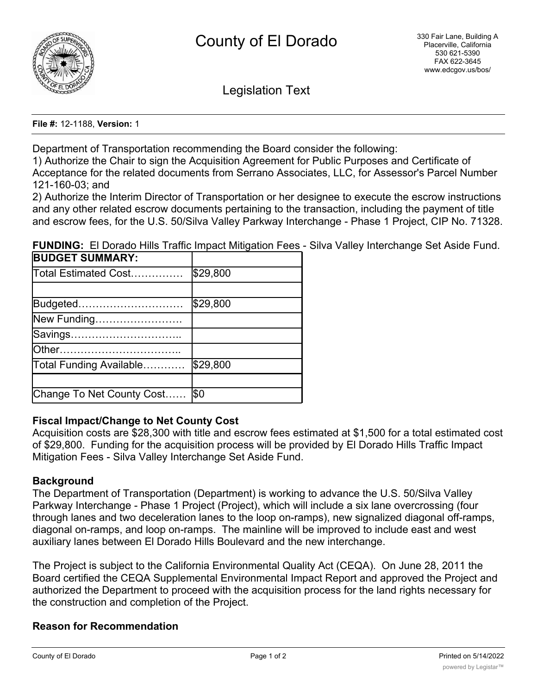

Legislation Text

**File #:** 12-1188, **Version:** 1

Department of Transportation recommending the Board consider the following:

1) Authorize the Chair to sign the Acquisition Agreement for Public Purposes and Certificate of Acceptance for the related documents from Serrano Associates, LLC, for Assessor's Parcel Number 121-160-03; and

2) Authorize the Interim Director of Transportation or her designee to execute the escrow instructions and any other related escrow documents pertaining to the transaction, including the payment of title and escrow fees, for the U.S. 50/Silva Valley Parkway Interchange - Phase 1 Project, CIP No. 71328.

**FUNDING:** El Dorado Hills Traffic Impact Mitigation Fees - Silva Valley Interchange Set Aside Fund.

| \$29,800 |
|----------|
|          |
| \$29,800 |
|          |
|          |
|          |
| \$29,800 |
|          |
| Ι\$Ο     |
|          |

## **Fiscal Impact/Change to Net County Cost**

Acquisition costs are \$28,300 with title and escrow fees estimated at \$1,500 for a total estimated cost of \$29,800. Funding for the acquisition process will be provided by El Dorado Hills Traffic Impact Mitigation Fees - Silva Valley Interchange Set Aside Fund.

## **Background**

The Department of Transportation (Department) is working to advance the U.S. 50/Silva Valley Parkway Interchange - Phase 1 Project (Project), which will include a six lane overcrossing (four through lanes and two deceleration lanes to the loop on-ramps), new signalized diagonal off-ramps, diagonal on-ramps, and loop on-ramps. The mainline will be improved to include east and west auxiliary lanes between El Dorado Hills Boulevard and the new interchange.

The Project is subject to the California Environmental Quality Act (CEQA). On June 28, 2011 the Board certified the CEQA Supplemental Environmental Impact Report and approved the Project and authorized the Department to proceed with the acquisition process for the land rights necessary for the construction and completion of the Project.

## **Reason for Recommendation**